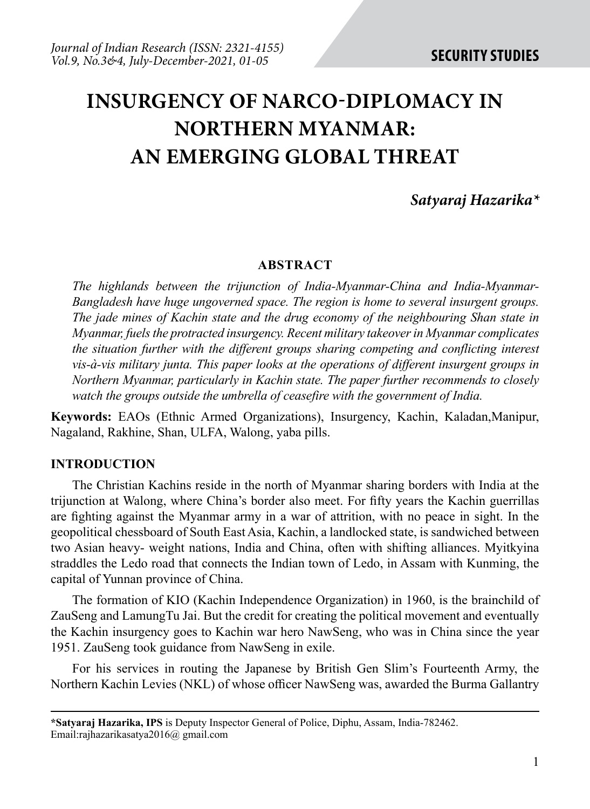# **INSURGENCY of NARCO-dIPLOMACY IN nORTHERN mYANMAR: AN EMERGING GLOBAL THREAT**

# *Satyaraj Hazarika\**

#### **ABSTRACT**

*The highlands between the trijunction of India-Myanmar-China and India-Myanmar-Bangladesh have huge ungoverned space. The region is home to several insurgent groups. The jade mines of Kachin state and the drug economy of the neighbouring Shan state in Myanmar, fuels the protracted insurgency. Recent military takeover in Myanmar complicates the situation further with the different groups sharing competing and conflicting interest vis-à-vis military junta. This paper looks at the operations of different insurgent groups in Northern Myanmar, particularly in Kachin state. The paper further recommends to closely watch the groups outside the umbrella of ceasefire with the government of India.* 

**Keywords:** EAOs (Ethnic Armed Organizations), Insurgency, Kachin, Kaladan,Manipur, Nagaland, Rakhine, Shan, ULFA, Walong, yaba pills.

#### **INTRODUCTION**

The Christian Kachins reside in the north of Myanmar sharing borders with India at the trijunction at Walong, where China's border also meet. For fifty years the Kachin guerrillas are fighting against the Myanmar army in a war of attrition, with no peace in sight. In the geopolitical chessboard of South East Asia, Kachin, a landlocked state, is sandwiched between two Asian heavy- weight nations, India and China, often with shifting alliances. Myitkyina straddles the Ledo road that connects the Indian town of Ledo, in Assam with Kunming, the capital of Yunnan province of China.

The formation of KIO (Kachin Independence Organization) in 1960, is the brainchild of ZauSeng and LamungTu Jai. But the credit for creating the political movement and eventually the Kachin insurgency goes to Kachin war hero NawSeng, who was in China since the year 1951. ZauSeng took guidance from NawSeng in exile.

For his services in routing the Japanese by British Gen Slim's Fourteenth Army, the Northern Kachin Levies (NKL) of whose officer NawSeng was, awarded the Burma Gallantry

**<sup>\*</sup>Satyaraj Hazarika, IPS** is Deputy Inspector General of Police, Diphu, Assam, India-782462. Email:rajhazarikasatya2016@ gmail.com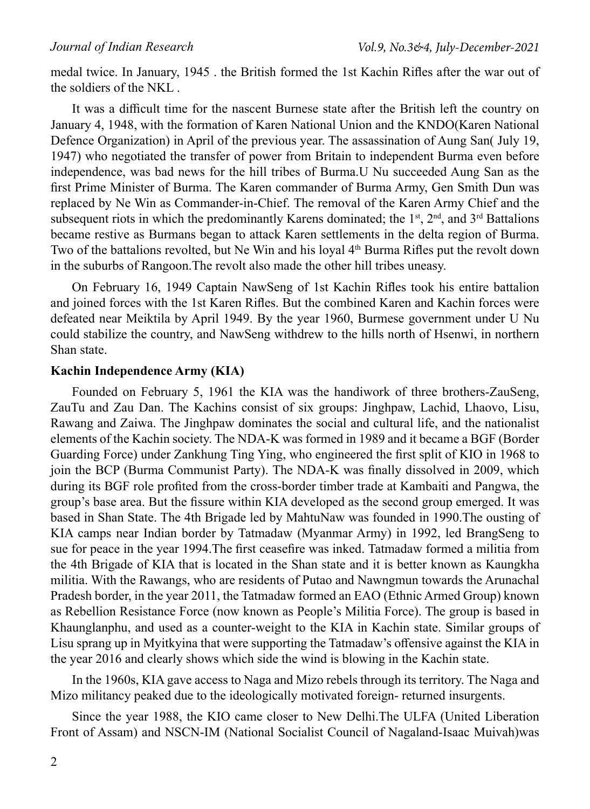medal twice. In January, 1945 . the British formed the 1st Kachin Rifles after the war out of the soldiers of the NKL .

It was a difficult time for the nascent Burnese state after the British left the country on January 4, 1948, with the formation of Karen National Union and the KNDO(Karen National Defence Organization) in April of the previous year. The assassination of Aung San( July 19, 1947) who negotiated the transfer of power from Britain to independent Burma even before independence, was bad news for the hill tribes of Burma.U Nu succeeded Aung San as the first Prime Minister of Burma. The Karen commander of Burma Army, Gen Smith Dun was replaced by Ne Win as Commander-in-Chief. The removal of the Karen Army Chief and the subsequent riots in which the predominantly Karens dominated; the 1<sup>st</sup>,  $2<sup>nd</sup>$ , and  $3<sup>rd</sup>$  Battalions became restive as Burmans began to attack Karen settlements in the delta region of Burma. Two of the battalions revolted, but Ne Win and his loyal 4<sup>th</sup> Burma Rifles put the revolt down in the suburbs of Rangoon.The revolt also made the other hill tribes uneasy.

On February 16, 1949 Captain NawSeng of 1st Kachin Rifles took his entire battalion and joined forces with the 1st Karen Rifles. But the combined Karen and Kachin forces were defeated near Meiktila by April 1949. By the year 1960, Burmese government under U Nu could stabilize the country, and NawSeng withdrew to the hills north of Hsenwi, in northern Shan state.

### **Kachin Independence Army (KIA)**

Founded on February 5, 1961 the KIA was the handiwork of three brothers-ZauSeng, ZauTu and Zau Dan. The Kachins consist of six groups: Jinghpaw, Lachid, Lhaovo, Lisu, Rawang and Zaiwa. The Jinghpaw dominates the social and cultural life, and the nationalist elements of the Kachin society. The NDA-K was formed in 1989 and it became a BGF (Border Guarding Force) under Zankhung Ting Ying, who engineered the first split of KIO in 1968 to join the BCP (Burma Communist Party). The NDA-K was finally dissolved in 2009, which during its BGF role profited from the cross-border timber trade at Kambaiti and Pangwa, the group's base area. But the fissure within KIA developed as the second group emerged. It was based in Shan State. The 4th Brigade led by MahtuNaw was founded in 1990.The ousting of KIA camps near Indian border by Tatmadaw (Myanmar Army) in 1992, led BrangSeng to sue for peace in the year 1994.The first ceasefire was inked. Tatmadaw formed a militia from the 4th Brigade of KIA that is located in the Shan state and it is better known as Kaungkha militia. With the Rawangs, who are residents of Putao and Nawngmun towards the Arunachal Pradesh border, in the year 2011, the Tatmadaw formed an EAO (Ethnic Armed Group) known as Rebellion Resistance Force (now known as People's Militia Force). The group is based in Khaunglanphu, and used as a counter-weight to the KIA in Kachin state. Similar groups of Lisu sprang up in Myitkyina that were supporting the Tatmadaw's offensive against the KIA in the year 2016 and clearly shows which side the wind is blowing in the Kachin state.

In the 1960s, KIA gave access to Naga and Mizo rebels through its territory. The Naga and Mizo militancy peaked due to the ideologically motivated foreign- returned insurgents.

Since the year 1988, the KIO came closer to New Delhi.The ULFA (United Liberation Front of Assam) and NSCN-IM (National Socialist Council of Nagaland-Isaac Muivah)was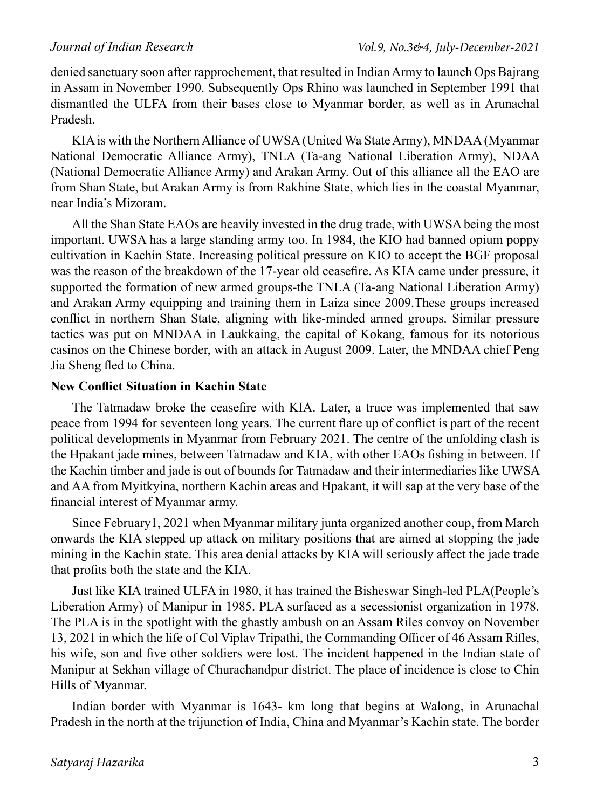denied sanctuary soon after rapprochement, that resulted in Indian Army to launch Ops Bajrang in Assam in November 1990. Subsequently Ops Rhino was launched in September 1991 that dismantled the ULFA from their bases close to Myanmar border, as well as in Arunachal Pradesh.

KIA is with the Northern Alliance of UWSA (United Wa State Army), MNDAA (Myanmar National Democratic Alliance Army), TNLA (Ta-ang National Liberation Army), NDAA (National Democratic Alliance Army) and Arakan Army. Out of this alliance all the EAO are from Shan State, but Arakan Army is from Rakhine State, which lies in the coastal Myanmar, near India's Mizoram.

All the Shan State EAOs are heavily invested in the drug trade, with UWSA being the most important. UWSA has a large standing army too. In 1984, the KIO had banned opium poppy cultivation in Kachin State. Increasing political pressure on KIO to accept the BGF proposal was the reason of the breakdown of the 17-year old ceasefire. As KIA came under pressure, it supported the formation of new armed groups-the TNLA (Ta-ang National Liberation Army) and Arakan Army equipping and training them in Laiza since 2009.These groups increased conflict in northern Shan State, aligning with like-minded armed groups. Similar pressure tactics was put on MNDAA in Laukkaing, the capital of Kokang, famous for its notorious casinos on the Chinese border, with an attack in August 2009. Later, the MNDAA chief Peng Jia Sheng fled to China.

## **New Conflict Situation in Kachin State**

The Tatmadaw broke the ceasefire with KIA. Later, a truce was implemented that saw peace from 1994 for seventeen long years. The current flare up of conflict is part of the recent political developments in Myanmar from February 2021. The centre of the unfolding clash is the Hpakant jade mines, between Tatmadaw and KIA, with other EAOs fishing in between. If the Kachin timber and jade is out of bounds for Tatmadaw and their intermediaries like UWSA and AA from Myitkyina, northern Kachin areas and Hpakant, it will sap at the very base of the financial interest of Myanmar army.

Since February1, 2021 when Myanmar military junta organized another coup, from March onwards the KIA stepped up attack on military positions that are aimed at stopping the jade mining in the Kachin state. This area denial attacks by KIA will seriously affect the jade trade that profits both the state and the KIA.

Just like KIA trained ULFA in 1980, it has trained the Bisheswar Singh-led PLA(People's Liberation Army) of Manipur in 1985. PLA surfaced as a secessionist organization in 1978. The PLA is in the spotlight with the ghastly ambush on an Assam Riles convoy on November 13, 2021 in which the life of Col Viplav Tripathi, the Commanding Officer of 46 Assam Rifles, his wife, son and five other soldiers were lost. The incident happened in the Indian state of Manipur at Sekhan village of Churachandpur district. The place of incidence is close to Chin Hills of Myanmar.

Indian border with Myanmar is 1643- km long that begins at Walong, in Arunachal Pradesh in the north at the trijunction of India, China and Myanmar's Kachin state. The border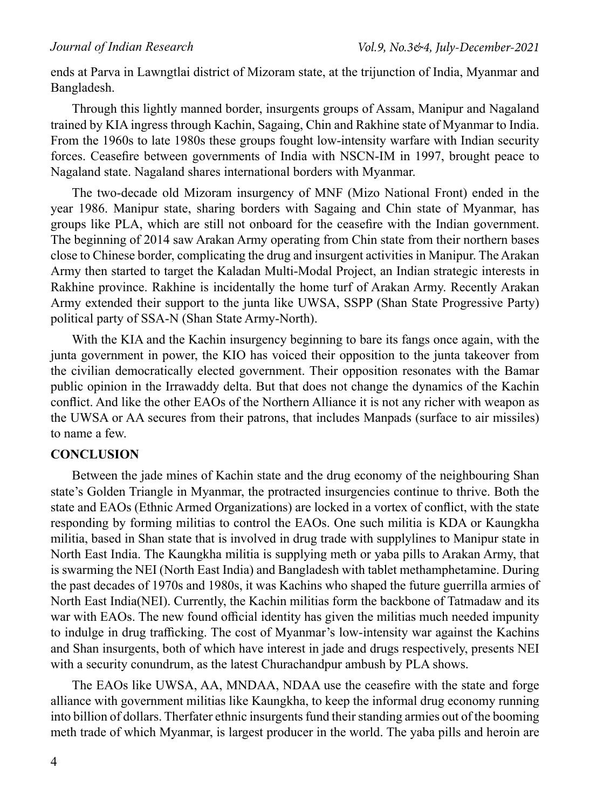ends at Parva in Lawngtlai district of Mizoram state, at the trijunction of India, Myanmar and Bangladesh.

Through this lightly manned border, insurgents groups of Assam, Manipur and Nagaland trained by KIA ingress through Kachin, Sagaing, Chin and Rakhine state of Myanmar to India. From the 1960s to late 1980s these groups fought low-intensity warfare with Indian security forces. Ceasefire between governments of India with NSCN-IM in 1997, brought peace to Nagaland state. Nagaland shares international borders with Myanmar.

The two-decade old Mizoram insurgency of MNF (Mizo National Front) ended in the year 1986. Manipur state, sharing borders with Sagaing and Chin state of Myanmar, has groups like PLA, which are still not onboard for the ceasefire with the Indian government. The beginning of 2014 saw Arakan Army operating from Chin state from their northern bases close to Chinese border, complicating the drug and insurgent activities in Manipur. The Arakan Army then started to target the Kaladan Multi-Modal Project, an Indian strategic interests in Rakhine province. Rakhine is incidentally the home turf of Arakan Army. Recently Arakan Army extended their support to the junta like UWSA, SSPP (Shan State Progressive Party) political party of SSA-N (Shan State Army-North).

With the KIA and the Kachin insurgency beginning to bare its fangs once again, with the junta government in power, the KIO has voiced their opposition to the junta takeover from the civilian democratically elected government. Their opposition resonates with the Bamar public opinion in the Irrawaddy delta. But that does not change the dynamics of the Kachin conflict. And like the other EAOs of the Northern Alliance it is not any richer with weapon as the UWSA or AA secures from their patrons, that includes Manpads (surface to air missiles) to name a few.

# **CONCLUSION**

Between the jade mines of Kachin state and the drug economy of the neighbouring Shan state's Golden Triangle in Myanmar, the protracted insurgencies continue to thrive. Both the state and EAOs (Ethnic Armed Organizations) are locked in a vortex of conflict, with the state responding by forming militias to control the EAOs. One such militia is KDA or Kaungkha militia, based in Shan state that is involved in drug trade with supplylines to Manipur state in North East India. The Kaungkha militia is supplying meth or yaba pills to Arakan Army, that is swarming the NEI (North East India) and Bangladesh with tablet methamphetamine. During the past decades of 1970s and 1980s, it was Kachins who shaped the future guerrilla armies of North East India(NEI). Currently, the Kachin militias form the backbone of Tatmadaw and its war with EAOs. The new found official identity has given the militias much needed impunity to indulge in drug trafficking. The cost of Myanmar's low-intensity war against the Kachins and Shan insurgents, both of which have interest in jade and drugs respectively, presents NEI with a security conundrum, as the latest Churachandpur ambush by PLA shows.

The EAOs like UWSA, AA, MNDAA, NDAA use the ceasefire with the state and forge alliance with government militias like Kaungkha, to keep the informal drug economy running into billion of dollars. Therfater ethnic insurgents fund their standing armies out of the booming meth trade of which Myanmar, is largest producer in the world. The yaba pills and heroin are